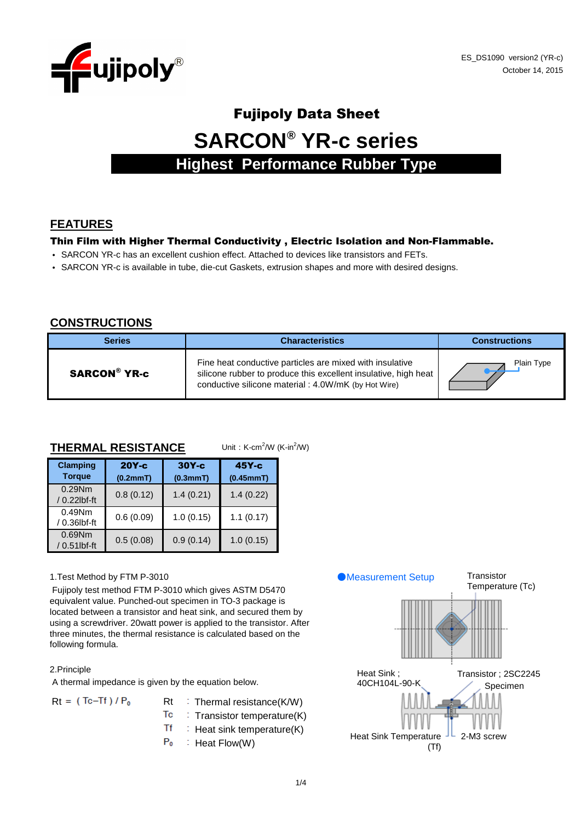

# Fujipoly Data Sheet **SARCON® YR-c series Highest Performance Rubber Type**

# **FEATURES**

#### Thin Film with Higher Thermal Conductivity , Electric Isolation and Non-Flammable.

- SARCON YR-c has an excellent cushion effect. Attached to devices like transistors and FETs.
- SARCON YR-c is available in tube, die-cut Gaskets, extrusion shapes and more with desired designs.

## **CONSTRUCTIONS**

| <b>Series</b>       | <b>Characteristics</b>                                                                                                                                                             | <b>Constructions</b> |
|---------------------|------------------------------------------------------------------------------------------------------------------------------------------------------------------------------------|----------------------|
| <b>SARCON® YR-c</b> | Fine heat conductive particles are mixed with insulative<br>silicone rubber to produce this excellent insulative, high heat<br>conductive silicone material: 4.0W/mK (by Hot Wire) | Plain Type           |

#### **THERMAL RESISTANCE**

|  | Unit: K-cm <sup>2</sup> /W (K-in <sup>2</sup> /W) |  |
|--|---------------------------------------------------|--|
|--|---------------------------------------------------|--|

| <b>Clamping</b><br><b>Torque</b> | $20Y-c$<br>(0.2mmT) | $30Y-c$<br>(0.3mmT) | $45Y-c$<br>(0.45mmT) |
|----------------------------------|---------------------|---------------------|----------------------|
| $0.29$ Nm<br>/ 0.22lbf-ft        | 0.8(0.12)           | 1.4(0.21)           | 1.4(0.22)            |
| $0.49$ Nm<br>/ 0.36lbf-ft        | 0.6(0.09)           | 1.0(0.15)           | 1.1(0.17)            |
| $0.69$ Nm<br>/ 0.51lbf-ft        | 0.5(0.08)           | 0.9(0.14)           | 1.0(0.15)            |

#### 1.Test Method by FTM P-3010

 Fujipoly test method FTM P-3010 which gives ASTM D5470 equivalent value. Punched-out specimen in TO-3 package is located between a transistor and heat sink, and secured them by using a screwdriver. 20watt power is applied to the transistor. After three minutes, the thermal resistance is calculated based on the following formula.

#### 2.Principle

A thermal impedance is given by the equation below.

| $Rt = (Tc-Tf)/P_0$ | $Rt$ : Thermal resistance(K/W)              |
|--------------------|---------------------------------------------|
|                    | $\overline{1}c$ : Transistor temperature(K) |
|                    | $Tf$ : Heat sink temperature(K)             |
|                    | $P_0$ : Heat Flow(W)                        |

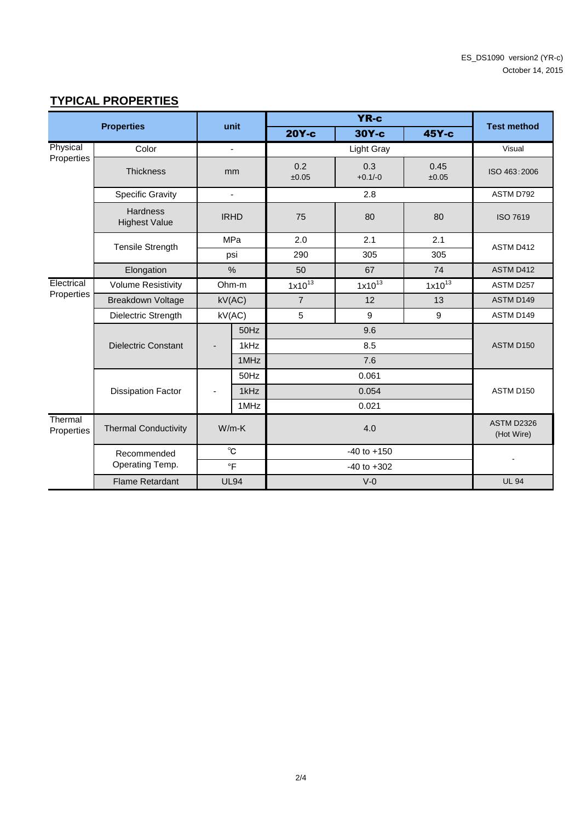# **TYPICAL PROPERTIES**

|                       | <b>Properties</b>                       |                 | unit           |                | <b>YR-c</b>      |               | <b>Test method</b>              |  |
|-----------------------|-----------------------------------------|-----------------|----------------|----------------|------------------|---------------|---------------------------------|--|
|                       |                                         |                 |                | 20Y-c          | $30Y-c$          | 45Y-c         |                                 |  |
| Physical              | Color                                   |                 | $\blacksquare$ |                | Light Gray       |               | Visual                          |  |
| Properties            | <b>Thickness</b>                        |                 | mm             | 0.2<br>±0.05   | 0.3<br>$+0.1/-0$ | 0.45<br>±0.05 | ISO 463:2006                    |  |
|                       | <b>Specific Gravity</b>                 |                 | $\blacksquare$ |                | 2.8              |               | ASTM D792                       |  |
|                       | <b>Hardness</b><br><b>Highest Value</b> | <b>IRHD</b>     |                | 75             | 80               | 80            | <b>ISO 7619</b>                 |  |
|                       | <b>Tensile Strength</b>                 | MPa             |                | 2.0            | 2.1              | 2.1           | ASTM D412                       |  |
|                       |                                         |                 | psi            | 290            | 305              | 305           |                                 |  |
|                       | Elongation                              | $\frac{0}{0}$   |                | 50             | 67               | 74            | ASTM D412                       |  |
| Electrical            | <b>Volume Resistivity</b>               | Ohm-m<br>kV(AC) |                | $1x10^{13}$    | $1x10^{13}$      | $1x10^{13}$   | ASTM D257                       |  |
| Properties            | <b>Breakdown Voltage</b>                |                 |                | $\overline{7}$ | 12               | 13            | ASTM D149                       |  |
|                       | Dielectric Strength                     | kV(AC)          |                | 5              | 9                | 9             | ASTM D149                       |  |
|                       |                                         |                 | 50Hz           |                | 9.6              |               |                                 |  |
|                       | <b>Dielectric Constant</b>              |                 | 1kHz           | 8.5            |                  |               | ASTM D150                       |  |
|                       |                                         |                 | 1MHz           |                | 7.6              |               |                                 |  |
|                       |                                         |                 | 50Hz           |                | 0.061            |               |                                 |  |
|                       | <b>Dissipation Factor</b>               |                 | 1kHz           |                | 0.054            |               | ASTM D150                       |  |
|                       |                                         |                 | 1MHz           |                | 0.021            |               |                                 |  |
| Thermal<br>Properties | <b>Thermal Conductivity</b>             | $W/m-K$         |                |                | 4.0              |               | <b>ASTM D2326</b><br>(Hot Wire) |  |
|                       | Recommended                             | $^{\circ}$ C    |                |                | $-40$ to $+150$  |               |                                 |  |
|                       | Operating Temp.                         |                 | $\circ$ F      |                |                  |               |                                 |  |
|                       | <b>Flame Retardant</b>                  |                 | <b>UL94</b>    |                | $V-0$            |               | <b>UL 94</b>                    |  |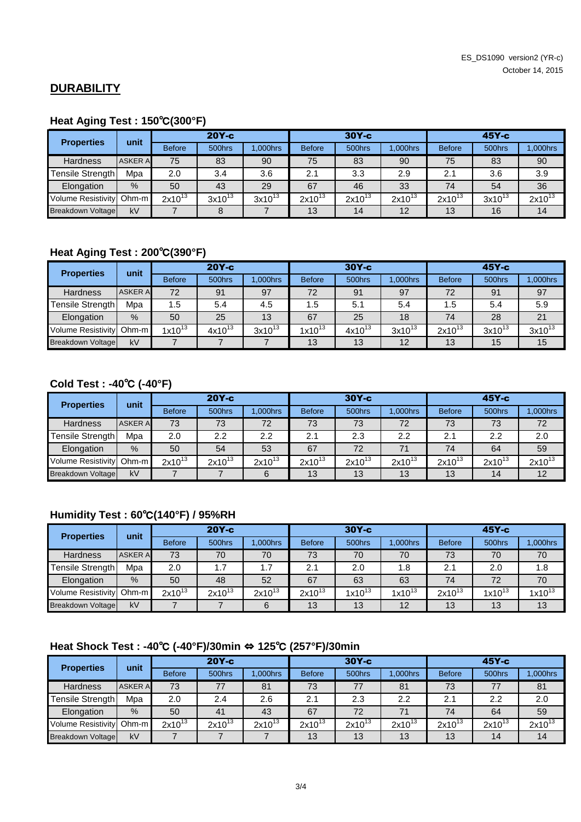## **DURABILITY**

# **Heat Aging Test : 150**℃**(300°F)**

| <b>Properties</b>         | unit           | $20Y-c$       |             |             | $30Y-c$       |             |             | $45Y-c$       |             |             |
|---------------------------|----------------|---------------|-------------|-------------|---------------|-------------|-------------|---------------|-------------|-------------|
|                           |                | <b>Before</b> | 500hrs      | .000hrs     | <b>Before</b> | 500hrs      | .000hrs     | <b>Before</b> | 500hrs      | .000hrs     |
| <b>Hardness</b>           | <b>ASKER A</b> | 75            | 83          | 90          | 75            | 83          | 90          | 75            | 83          | 90          |
| Tensile Strength          | Mpa            | 2.0           | 3.4         | 3.6         | 2.1           | 3.3         | 2.9         | 2.1           | 3.6         | 3.9         |
| Elongation                | $\%$           | 50            | 43          | 29          | 67            | 46          | 33          | 74            | 54          | 36          |
| <b>Volume Resistivity</b> | $Ohm-m$        | $2x10^{13}$   | $3x10^{13}$ | $3x10^{13}$ | $2x10^{13}$   | $2x10^{13}$ | $2x10^{13}$ | $2x10^{13}$   | $3x10^{13}$ | $2x10^{13}$ |
| <b>Breakdown Voltage</b>  | kV             |               | 8           |             | 13            | 14          | 12          | 13            | 16          | 14          |

## **Heat Aging Test : 200**℃**(390°F)**

| <b>Properties</b>        | unit           |               | $20Y-c$     |             |               | $30Y-c$     | $45Y-c$     |               |             |             |
|--------------------------|----------------|---------------|-------------|-------------|---------------|-------------|-------------|---------------|-------------|-------------|
|                          |                | <b>Before</b> | 500hrs      | $.000$ hrs  | <b>Before</b> | 500hrs      | $.000$ hrs  | <b>Before</b> | 500hrs      | 1,000hrs    |
| <b>Hardness</b>          | <b>ASKER A</b> | 72            | 91          | 97          | 72            | 91          | 97          | 72            | 91          | 97          |
| Tensile Strength         | Mpa            | 1.5           | 5.4         | 4.5         | 1.5           | 5.1         | 5.4         | 1.5           | 5.4         | 5.9         |
| Elongation               | $\%$           | 50            | 25          | 13          | 67            | 25          | 18          | 74            | 28          | 21          |
| Volume Resistivity Ohm-m |                | $1x10^{13}$   | $4x10^{13}$ | $3x10^{13}$ | $1x10^{13}$   | $4x10^{13}$ | $3x10^{13}$ | $2x10^{13}$   | $3x10^{13}$ | $3x10^{13}$ |
| Breakdown Voltage        | kV             |               |             |             | 13            | 13          | 12          | 13            | 15          | 15          |

# **Cold Test : -40**℃ **(-40°F)**

| <b>Properties</b>        | unit           | $20Y-c$       |                                  |             | $30Y-c$       |             |                | $45Y-c$       |             |             |
|--------------------------|----------------|---------------|----------------------------------|-------------|---------------|-------------|----------------|---------------|-------------|-------------|
|                          |                | <b>Before</b> | 500hrs                           | $.000$ hrs  | <b>Before</b> | 500hrs      | <b>.000hrs</b> | <b>Before</b> | 500hrs      | $.000$ hrs  |
| <b>Hardness</b>          | <b>ASKER A</b> | 73            | 72<br>72<br>73<br>73<br>73<br>73 |             |               |             |                |               | 73          | 72          |
| Tensile Strength         | Mpa            | 2.0           | 2.2                              | 2.2         | 2.1           | 2.3         | 2.2            | 2.1           | 2.2         | 2.0         |
| Elongation               | $\%$           | 50            | 54                               | 53          | 67            | 72          | 71             | 74            | 64          | 59          |
| Volume Resistivity Ohm-m |                | $2x10^{13}$   | $2x10^{13}$                      | $2x10^{13}$ | $2x10^{13}$   | $2x10^{13}$ | $2x10^{13}$    | $2x10^{13}$   | $2x10^{13}$ | $2x10^{13}$ |
| Breakdown Voltage        | kV             |               |                                  | 6           | 13            | 13          | 13             | 13            | 14          | 12          |

# **Humidity Test : 60**℃**(140°F) / 95%RH**

| <b>Properties</b>         | unit           | $20Y-c$       |             |             |               | $30Y-c$     |             |                   | $45Y-c$     |             |  |
|---------------------------|----------------|---------------|-------------|-------------|---------------|-------------|-------------|-------------------|-------------|-------------|--|
|                           |                | <b>Before</b> | 500hrs      | .000hrs     | <b>Before</b> | 500hrs      | $.000$ hrs  | <b>Before</b>     | 500hrs      | ,000hrs     |  |
| <b>Hardness</b>           | <b>ASKER A</b> | 73            | 70          | 70          | 73            | 70          | 70          | 73                | 70          | 70          |  |
| Tensile Strength          | Mpa            | 2.0           | 1.7         | 1.7         | 2.1           | 2.0         | 1.8         | 2.0<br>1.8<br>2.1 |             |             |  |
| Elongation                | $\frac{9}{6}$  | 50            | 48          | 52          | 67            | 63          | 63          | 74                | 72          | 70          |  |
| <b>Volume Resistivity</b> | $Ohm-m$        | $2x10^{13}$   | $2x10^{13}$ | $2x10^{13}$ | $2x10^{13}$   | $1x10^{13}$ | $1x10^{13}$ | $2x10^{13}$       | $1x10^{13}$ | $1x10^{13}$ |  |
| <b>Breakdown Voltage</b>  | kV             |               |             | 6           | 13            | 13          | 12          | 13                | 13          | 13          |  |

# **Heat Shock Test : -40**℃ **(-40°F)/30min** ⇔ **125**℃ **(257°F)/30min**

| <b>Properties</b>         | unit           |               | $20Y-c$     |             | $30Y-c$       |             |             | $45Y-c$       |             |             |
|---------------------------|----------------|---------------|-------------|-------------|---------------|-------------|-------------|---------------|-------------|-------------|
|                           |                | <b>Before</b> | 500hrs      | .000hrs     | <b>Before</b> | 500hrs      | 1.000hrs    | <b>Before</b> | 500hrs      | .000hrs     |
| <b>Hardness</b>           | <b>ASKER A</b> | 73            |             | 81          | 73            |             | 81          | 73            |             | 81          |
| Fensile Strength          | Mpa            | 2.0           | 2.4         | 2.6         | 2.1           | 2.3         | 2.2         | 2.1           | 2.2         | 2.0         |
| Elongation                | $\%$           | 50            | 41          | 43          | 67            | 72          | 71          | 74            | 64          | 59          |
| <b>Volume Resistivity</b> | $Ohm-m$        | $2x10^{13}$   | $2x10^{13}$ | $2x10^{13}$ | $2x10^{13}$   | $2x10^{13}$ | $2x10^{13}$ | $2x10^{13}$   | $2x10^{13}$ | $2x10^{13}$ |
| Breakdown Voltage         | kV             |               |             |             | 13            | 13          | 13          | 13            | 14          | 14          |